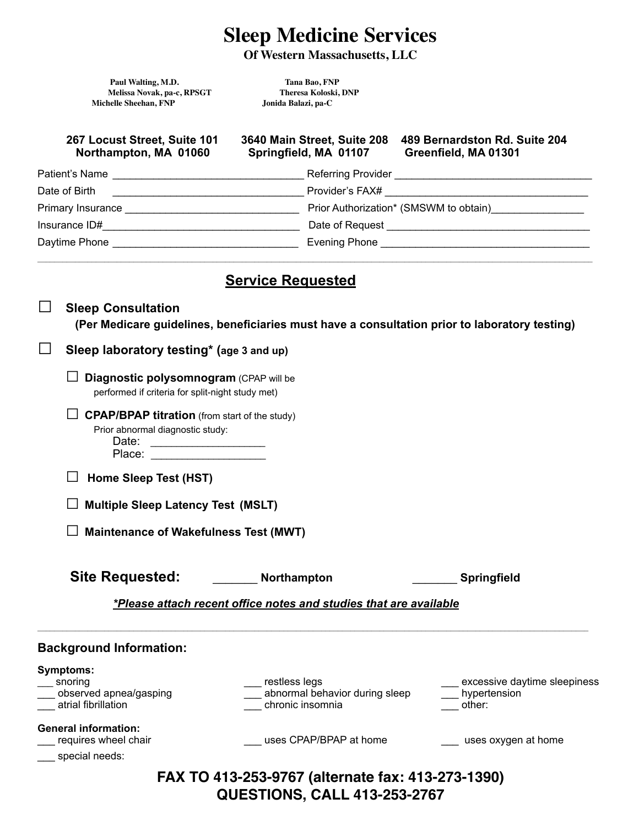# **Sleep Medicine Services**

**Of Western Massachusetts, LLC** 

Paul Walting, M.D.<br> **1998** Melissa Novak, pa-c, RPSGT<br> **1998** Theresa Koloski, DNP **Melissa Novak, pa-c, RPSGT Theresa Koloski, DNP Michelle Sheehan, FNP** 

| 267 Locust Street, Suite 101<br>Northampton, MA 01060 | 3640 Main Street, Suite 208<br>Springfield, MA 01107 Greenfield, MA 01301 | 489 Bernardston Rd. Suite 204                                                                 |  |  |  |
|-------------------------------------------------------|---------------------------------------------------------------------------|-----------------------------------------------------------------------------------------------|--|--|--|
| Patient's Name                                        |                                                                           |                                                                                               |  |  |  |
|                                                       |                                                                           |                                                                                               |  |  |  |
|                                                       |                                                                           | Prior Authorization* (SMSWM to obtain)                                                        |  |  |  |
|                                                       |                                                                           |                                                                                               |  |  |  |
|                                                       |                                                                           |                                                                                               |  |  |  |
| <b>Service Requested</b><br><b>Sleep Consultation</b> |                                                                           |                                                                                               |  |  |  |
|                                                       |                                                                           | (Per Medicare guidelines, beneficiaries must have a consultation prior to laboratory testing) |  |  |  |
| Sleep laboratory testing* (age 3 and up)              |                                                                           |                                                                                               |  |  |  |
| Diagnostic polysomnogram (CPAP will be                |                                                                           |                                                                                               |  |  |  |

| <b>Sleep Consultation</b><br>(Per Medicare guidelines, beneficiaries must have a consultation prior to laboratory testing)                                                                                                                                                                                                                          |
|-----------------------------------------------------------------------------------------------------------------------------------------------------------------------------------------------------------------------------------------------------------------------------------------------------------------------------------------------------|
| Sleep laboratory testing* (age 3 and up)                                                                                                                                                                                                                                                                                                            |
| Diagnostic polysomnogram (CPAP will be<br>performed if criteria for split-night study met)                                                                                                                                                                                                                                                          |
| <b>CPAP/BPAP titration</b> (from start of the study)<br>Prior abnormal diagnostic study:<br>Date:<br><u>and the control of the control of the control of the control of the control of the control of the control of the control of the control of the control of the control of the control of the control of the control of the con</u><br>Place: |
| Home Sleep Test (HST)                                                                                                                                                                                                                                                                                                                               |
| <b>Multiple Sleep Latency Test (MSLT)</b>                                                                                                                                                                                                                                                                                                           |
| <b>Maintenance of Wakefulness Test (MWT)</b>                                                                                                                                                                                                                                                                                                        |
| <b>Site Requested:</b><br>Northampton<br><b>Springfield</b>                                                                                                                                                                                                                                                                                         |
| *Please attach recent office notes and studies that are available                                                                                                                                                                                                                                                                                   |

| <b>Background Information:</b>                                                      |                                                                     |                                                        |  |  |  |
|-------------------------------------------------------------------------------------|---------------------------------------------------------------------|--------------------------------------------------------|--|--|--|
| <b>Symptoms:</b><br>__ snoring<br>___ observed apnea/gasping<br>atrial fibrillation | restless legs<br>abnormal behavior during sleep<br>chronic insomnia | excessive daytime sleepiness<br>hypertension<br>other: |  |  |  |
| <b>General information:</b><br>requires wheel chair<br>__ special needs:            | uses CPAP/BPAP at home                                              | uses oxygen at home                                    |  |  |  |
| FAX TO 413-253-9767 (alternate fax: 413-273-1390)                                   |                                                                     |                                                        |  |  |  |

**QUESTIONS, CALL 413-253-2767**